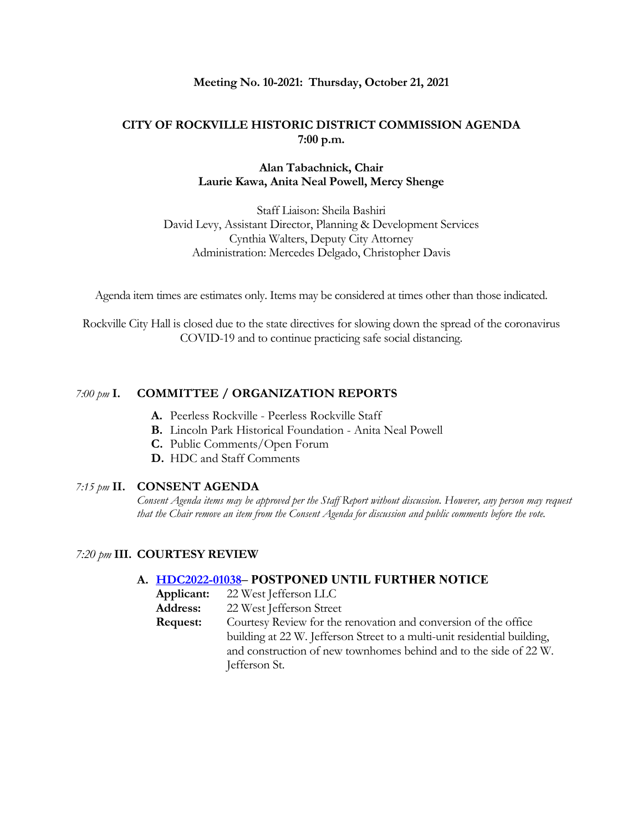#### **Meeting No. 10-2021: Thursday, October 21, 2021**

#### **CITY OF ROCKVILLE HISTORIC DISTRICT COMMISSION AGENDA 7:00 p.m.**

#### **Alan Tabachnick, Chair Laurie Kawa, Anita Neal Powell, Mercy Shenge**

Staff Liaison: Sheila Bashiri David Levy, Assistant Director, Planning & Development Services Cynthia Walters, Deputy City Attorney Administration: Mercedes Delgado, Christopher Davis

Agenda item times are estimates only. Items may be considered at times other than those indicated.

Rockville City Hall is closed due to the state directives for slowing down the spread of the coronavirus COVID-19 and to continue practicing safe social distancing.

#### *7:00 pm* **I. COMMITTEE / ORGANIZATION REPORTS**

- **A.** Peerless Rockville Peerless Rockville Staff
- **B.** Lincoln Park Historical Foundation Anita Neal Powell
- **C.** Public Comments/Open Forum
- **D.** HDC and Staff Comments

#### *7:15 pm* **II. CONSENT AGENDA**

*Consent Agenda items may be approved per the Staff Report without discussion. However, any person may request that the Chair remove an item from the Consent Agenda for discussion and public comments before the vote.*

#### *7:20 pm* **III. COURTESY REVIEW**

#### **A. [HDC2022-01038](https://www.rockvillemd.gov/DocumentCenter/View/43260/HDC2022-01038-22-E-Jefferson-Street-Web-Version)– POSTPONED UNTIL FURTHER NOTICE**

| Applicant: | 22 West Jefferson LLC |
|------------|-----------------------|
|------------|-----------------------|

**Address:** 22 West Jefferson Street

**Request:** Courtesy Review for the renovation and conversion of the office building at 22 W. Jefferson Street to a multi-unit residential building, and construction of new townhomes behind and to the side of 22 W. Jefferson St.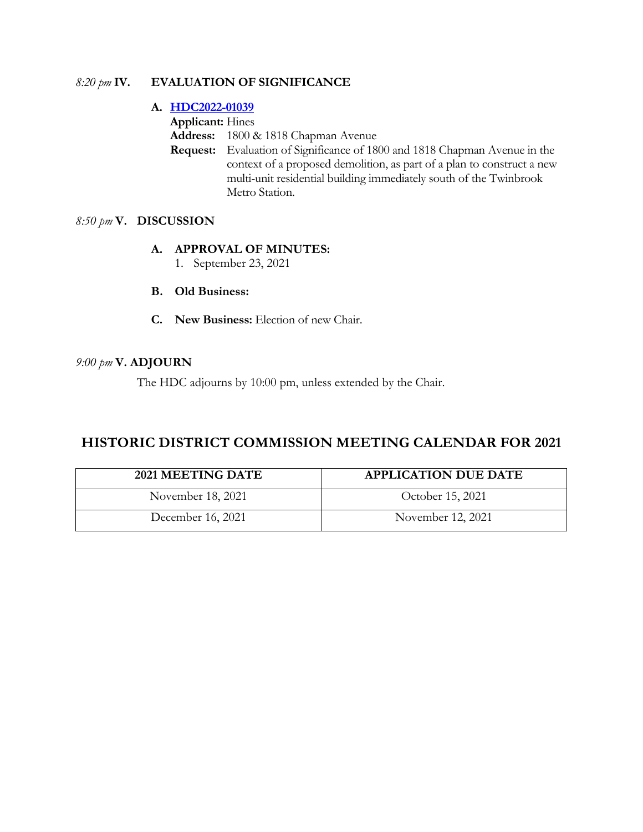### *8:20 pm* **IV. EVALUATION OF SIGNIFICANCE**

### **A. [HDC2022-01039](https://www.rockvillemd.gov/DocumentCenter/View/43261/HDC2022-01039-1800-1818-Chapman-Ave-Web-Version)**

**Applicant:** Hines

**Address:** 1800 & 1818 Chapman Avenue

**Request:** Evaluation of Significance of 1800 and 1818 Chapman Avenue in the context of a proposed demolition, as part of a plan to construct a new multi-unit residential building immediately south of the Twinbrook Metro Station.

# *8:50 pm* **V. DISCUSSION**

### **A. APPROVAL OF MINUTES:**

- 1. September 23, 2021
- **B. Old Business:**
- **C. New Business:** Election of new Chair.

### *9:00 pm* **V. ADJOURN**

The HDC adjourns by 10:00 pm, unless extended by the Chair.

# **HISTORIC DISTRICT COMMISSION MEETING CALENDAR FOR 2021**

| 2021 MEETING DATE | <b>APPLICATION DUE DATE</b> |
|-------------------|-----------------------------|
| November 18, 2021 | October 15, 2021            |
| December 16, 2021 | November 12, 2021           |